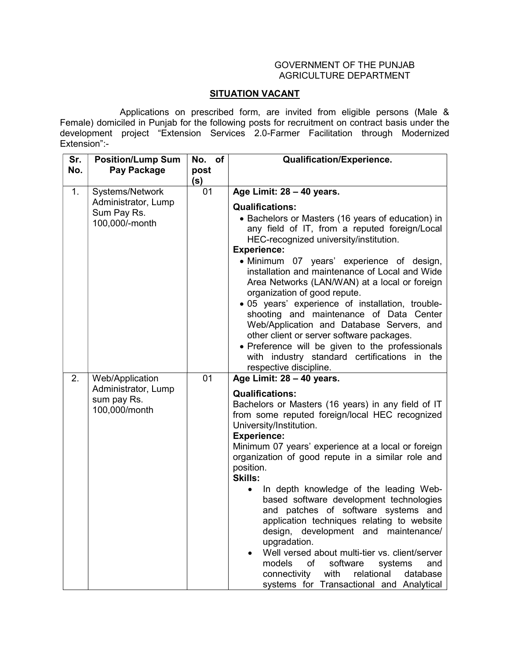## GOVERNMENT OF THE PUNJAB AGRICULTURE DEPARTMENT

## **SITUATION VACANT**

 Applications on prescribed form, are invited from eligible persons (Male & Female) domiciled in Punjab for the following posts for recruitment on contract basis under the development project "Extension Services 2.0-Farmer Facilitation through Modernized Extension":-

| No.<br>Pay Package<br>post<br>(s)<br>1.<br>01<br>Age Limit: $28 - 40$ years.<br>Systems/Network<br>Administrator, Lump<br><b>Qualifications:</b><br>Sum Pay Rs.<br>• Bachelors or Masters (16 years of education) in<br>100,000/-month<br>any field of IT, from a reputed foreign/Local<br>HEC-recognized university/institution.<br><b>Experience:</b><br>· Minimum 07 years' experience of design,<br>installation and maintenance of Local and Wide<br>Area Networks (LAN/WAN) at a local or foreign<br>organization of good repute.<br>· 05 years' experience of installation, trouble-<br>shooting and maintenance of Data Center<br>Web/Application and Database Servers, and<br>other client or server software packages.<br>• Preference will be given to the professionals<br>with industry standard certifications in the<br>respective discipline.<br>01<br>Age Limit: $28 - 40$ years.<br>2.<br>Web/Application<br>Administrator, Lump<br><b>Qualifications:</b><br>sum pay Rs.<br>Bachelors or Masters (16 years) in any field of IT<br>100,000/month<br>from some reputed foreign/local HEC recognized<br>University/Institution. |                 |
|-------------------------------------------------------------------------------------------------------------------------------------------------------------------------------------------------------------------------------------------------------------------------------------------------------------------------------------------------------------------------------------------------------------------------------------------------------------------------------------------------------------------------------------------------------------------------------------------------------------------------------------------------------------------------------------------------------------------------------------------------------------------------------------------------------------------------------------------------------------------------------------------------------------------------------------------------------------------------------------------------------------------------------------------------------------------------------------------------------------------------------------------------|-----------------|
|                                                                                                                                                                                                                                                                                                                                                                                                                                                                                                                                                                                                                                                                                                                                                                                                                                                                                                                                                                                                                                                                                                                                                 |                 |
|                                                                                                                                                                                                                                                                                                                                                                                                                                                                                                                                                                                                                                                                                                                                                                                                                                                                                                                                                                                                                                                                                                                                                 |                 |
|                                                                                                                                                                                                                                                                                                                                                                                                                                                                                                                                                                                                                                                                                                                                                                                                                                                                                                                                                                                                                                                                                                                                                 |                 |
|                                                                                                                                                                                                                                                                                                                                                                                                                                                                                                                                                                                                                                                                                                                                                                                                                                                                                                                                                                                                                                                                                                                                                 |                 |
|                                                                                                                                                                                                                                                                                                                                                                                                                                                                                                                                                                                                                                                                                                                                                                                                                                                                                                                                                                                                                                                                                                                                                 |                 |
|                                                                                                                                                                                                                                                                                                                                                                                                                                                                                                                                                                                                                                                                                                                                                                                                                                                                                                                                                                                                                                                                                                                                                 |                 |
|                                                                                                                                                                                                                                                                                                                                                                                                                                                                                                                                                                                                                                                                                                                                                                                                                                                                                                                                                                                                                                                                                                                                                 |                 |
|                                                                                                                                                                                                                                                                                                                                                                                                                                                                                                                                                                                                                                                                                                                                                                                                                                                                                                                                                                                                                                                                                                                                                 |                 |
|                                                                                                                                                                                                                                                                                                                                                                                                                                                                                                                                                                                                                                                                                                                                                                                                                                                                                                                                                                                                                                                                                                                                                 |                 |
|                                                                                                                                                                                                                                                                                                                                                                                                                                                                                                                                                                                                                                                                                                                                                                                                                                                                                                                                                                                                                                                                                                                                                 |                 |
|                                                                                                                                                                                                                                                                                                                                                                                                                                                                                                                                                                                                                                                                                                                                                                                                                                                                                                                                                                                                                                                                                                                                                 |                 |
|                                                                                                                                                                                                                                                                                                                                                                                                                                                                                                                                                                                                                                                                                                                                                                                                                                                                                                                                                                                                                                                                                                                                                 |                 |
|                                                                                                                                                                                                                                                                                                                                                                                                                                                                                                                                                                                                                                                                                                                                                                                                                                                                                                                                                                                                                                                                                                                                                 |                 |
|                                                                                                                                                                                                                                                                                                                                                                                                                                                                                                                                                                                                                                                                                                                                                                                                                                                                                                                                                                                                                                                                                                                                                 |                 |
|                                                                                                                                                                                                                                                                                                                                                                                                                                                                                                                                                                                                                                                                                                                                                                                                                                                                                                                                                                                                                                                                                                                                                 |                 |
|                                                                                                                                                                                                                                                                                                                                                                                                                                                                                                                                                                                                                                                                                                                                                                                                                                                                                                                                                                                                                                                                                                                                                 |                 |
| <b>Experience:</b>                                                                                                                                                                                                                                                                                                                                                                                                                                                                                                                                                                                                                                                                                                                                                                                                                                                                                                                                                                                                                                                                                                                              |                 |
| Minimum 07 years' experience at a local or foreign<br>organization of good repute in a similar role and                                                                                                                                                                                                                                                                                                                                                                                                                                                                                                                                                                                                                                                                                                                                                                                                                                                                                                                                                                                                                                         |                 |
| position.                                                                                                                                                                                                                                                                                                                                                                                                                                                                                                                                                                                                                                                                                                                                                                                                                                                                                                                                                                                                                                                                                                                                       |                 |
| <b>Skills:</b>                                                                                                                                                                                                                                                                                                                                                                                                                                                                                                                                                                                                                                                                                                                                                                                                                                                                                                                                                                                                                                                                                                                                  |                 |
| In depth knowledge of the leading Web-<br>$\bullet$<br>based software development technologies<br>and patches of software systems and<br>application techniques relating to website                                                                                                                                                                                                                                                                                                                                                                                                                                                                                                                                                                                                                                                                                                                                                                                                                                                                                                                                                             |                 |
| design, development and maintenance/<br>upgradation.                                                                                                                                                                                                                                                                                                                                                                                                                                                                                                                                                                                                                                                                                                                                                                                                                                                                                                                                                                                                                                                                                            |                 |
| Well versed about multi-tier vs. client/server<br>$\bullet$<br>models<br>software<br>of<br>systems<br>with<br>relational<br>connectivity<br>systems for Transactional and Analytical                                                                                                                                                                                                                                                                                                                                                                                                                                                                                                                                                                                                                                                                                                                                                                                                                                                                                                                                                            | and<br>database |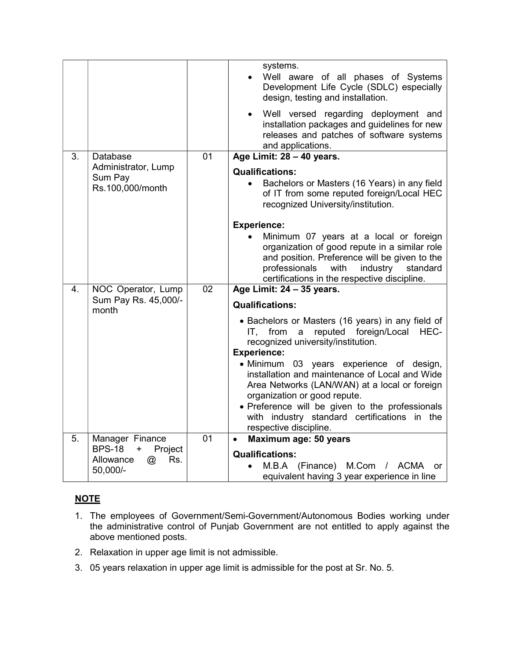| 3.<br>Database                                          |    |                                                                                                                                                                                                                                           |
|---------------------------------------------------------|----|-------------------------------------------------------------------------------------------------------------------------------------------------------------------------------------------------------------------------------------------|
|                                                         |    | installation packages and guidelines for new<br>releases and patches of software systems<br>and applications.                                                                                                                             |
|                                                         | 01 | Age Limit: 28 - 40 years.                                                                                                                                                                                                                 |
| Administrator, Lump<br>Sum Pay<br>Rs.100,000/month      |    | <b>Qualifications:</b>                                                                                                                                                                                                                    |
|                                                         |    | Bachelors or Masters (16 Years) in any field<br>of IT from some reputed foreign/Local HEC<br>recognized University/institution.                                                                                                           |
|                                                         |    | <b>Experience:</b>                                                                                                                                                                                                                        |
|                                                         |    | Minimum 07 years at a local or foreign<br>organization of good repute in a similar role<br>and position. Preference will be given to the<br>professionals<br>industry<br>with<br>standard<br>certifications in the respective discipline. |
| 4.<br>NOC Operator, Lump                                | 02 | Age Limit: 24 - 35 years.                                                                                                                                                                                                                 |
| month                                                   |    | <b>Qualifications:</b>                                                                                                                                                                                                                    |
|                                                         |    | • Bachelors or Masters (16 years) in any field of<br>foreign/Local<br>from<br>reputed<br>HEC-<br>IT.<br>a<br>recognized university/institution.<br><b>Experience:</b>                                                                     |
|                                                         |    | • Minimum 03 years experience of design,<br>installation and maintenance of Local and Wide<br>Area Networks (LAN/WAN) at a local or foreign<br>organization or good repute.                                                               |
|                                                         |    | with industry standard certifications in the<br>respective discipline.                                                                                                                                                                    |
| 5.<br>Manager Finance                                   | 01 | Maximum age: 50 years<br>$\bullet$                                                                                                                                                                                                        |
|                                                         |    | <b>Qualifications:</b>                                                                                                                                                                                                                    |
|                                                         |    | M.B.A (Finance) M.Com / ACMA<br>or                                                                                                                                                                                                        |
| Allowance<br>Rs.<br>@                                   |    |                                                                                                                                                                                                                                           |
| Sum Pay Rs. 45,000/-<br><b>BPS-18</b><br>$+$<br>Project |    | • Preference will be given to the professionals                                                                                                                                                                                           |

## NOTE

- 1. The employees of Government/Semi-Government/Autonomous Bodies working under the administrative control of Punjab Government are not entitled to apply against the above mentioned posts.
- 2. Relaxation in upper age limit is not admissible.
- 3. 05 years relaxation in upper age limit is admissible for the post at Sr. No. 5.